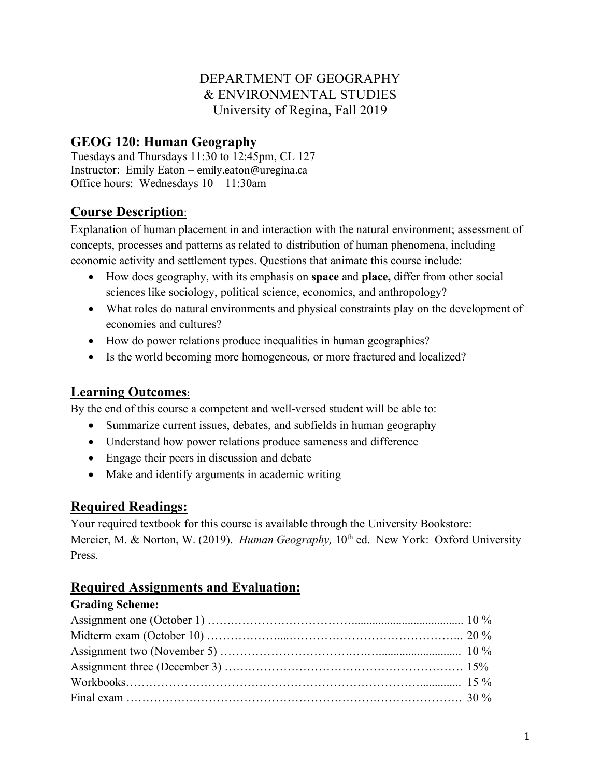# DEPARTMENT OF GEOGRAPHY & ENVIRONMENTAL STUDIES University of Regina, Fall 2019

# **GEOG 120: Human Geography**

Tuesdays and Thursdays 11:30 to 12:45pm, CL 127 Instructor: Emily Eaton – emily.eaton@uregina.ca Office hours: Wednesdays 10 – 11:30am

# **Course Description**:

Explanation of human placement in and interaction with the natural environment; assessment of concepts, processes and patterns as related to distribution of human phenomena, including economic activity and settlement types. Questions that animate this course include:

- How does geography, with its emphasis on **space** and **place,** differ from other social sciences like sociology, political science, economics, and anthropology?
- What roles do natural environments and physical constraints play on the development of economies and cultures?
- How do power relations produce inequalities in human geographies?
- Is the world becoming more homogeneous, or more fractured and localized?

### **Learning Outcomes:**

By the end of this course a competent and well-versed student will be able to:

- Summarize current issues, debates, and subfields in human geography
- Understand how power relations produce sameness and difference
- Engage their peers in discussion and debate
- Make and identify arguments in academic writing

#### **Required Readings:**

Your required textbook for this course is available through the University Bookstore: Mercier, M. & Norton, W. (2019). *Human Geography*, 10<sup>th</sup> ed. New York: Oxford University Press.

# **Required Assignments and Evaluation:**

| <b>Grading Scheme:</b> |  |
|------------------------|--|
|                        |  |
|                        |  |
|                        |  |
|                        |  |
|                        |  |
|                        |  |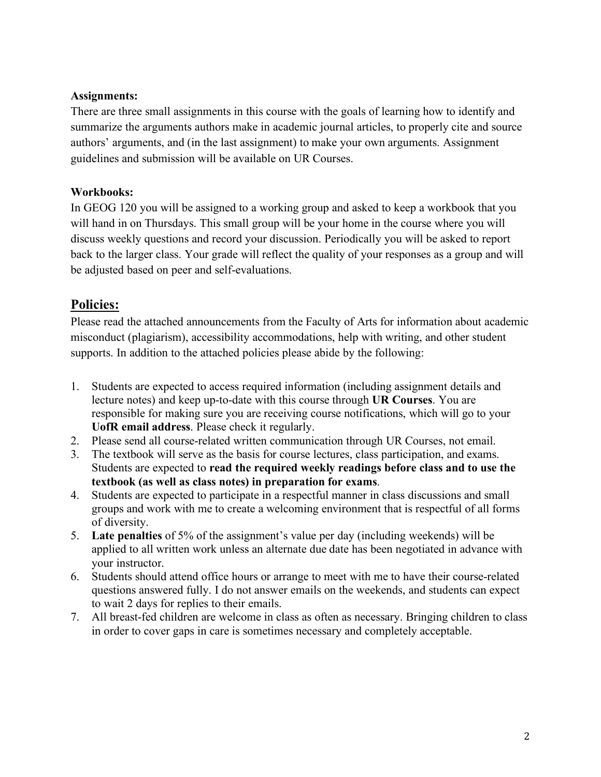#### **Assignments:**

There are three small assignments in this course with the goals of learning how to identify and summarize the arguments authors make in academic journal articles, to properly cite and source authors' arguments, and (in the last assignment) to make your own arguments. Assignment guidelines and submission will be available on UR Courses.

#### **Workbooks:**

In GEOG 120 you will be assigned to a working group and asked to keep a workbook that you will hand in on Thursdays. This small group will be your home in the course where you will discuss weekly questions and record your discussion. Periodically you will be asked to report back to the larger class. Your grade will reflect the quality of your responses as a group and will be adjusted based on peer and self-evaluations.

#### **Policies:**

Please read the attached announcements from the Faculty of Arts for information about academic misconduct (plagiarism), accessibility accommodations, help with writing, and other student supports. In addition to the attached policies please abide by the following:

- 1. Students are expected to access required information (including assignment details and lecture notes) and keep up-to-date with this course through **UR Courses**. You are responsible for making sure you are receiving course notifications, which will go to your **UofR email address**. Please check it regularly.
- 2. Please send all course-related written communication through UR Courses, not email.
- 3. The textbook will serve as the basis for course lectures, class participation, and exams. Students are expected to **read the required weekly readings before class and to use the textbook (as well as class notes) in preparation for exams**.
- 4. Students are expected to participate in a respectful manner in class discussions and small groups and work with me to create a welcoming environment that is respectful of all forms of diversity.
- 5. **Late penalties** of 5% of the assignment's value per day (including weekends) will be applied to all written work unless an alternate due date has been negotiated in advance with your instructor.
- 6. Students should attend office hours or arrange to meet with me to have their course-related questions answered fully. I do not answer emails on the weekends, and students can expect to wait 2 days for replies to their emails.
- 7. All breast-fed children are welcome in class as often as necessary. Bringing children to class in order to cover gaps in care is sometimes necessary and completely acceptable.